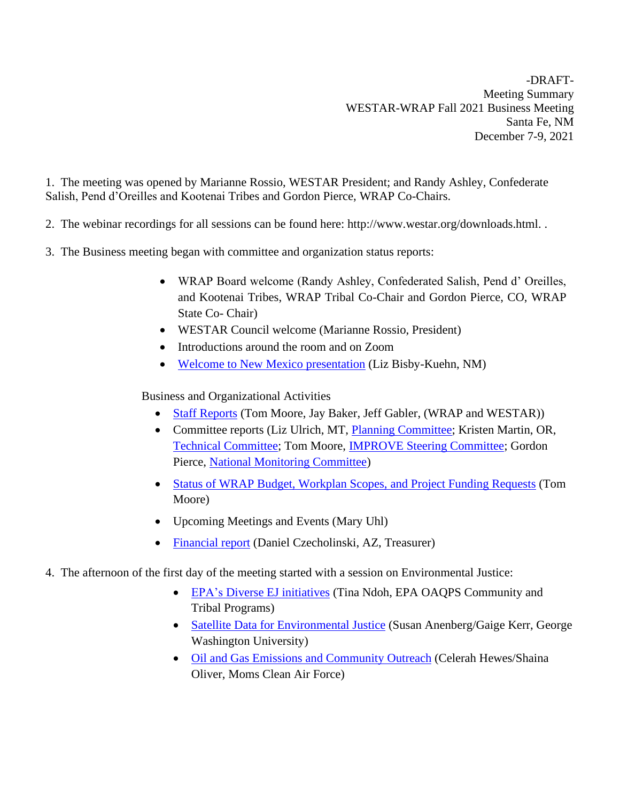-DRAFT-Meeting Summary WESTAR-WRAP Fall 2021 Business Meeting Santa Fe, NM December 7-9, 2021

1. The meeting was opened by Marianne Rossio, WESTAR President; and Randy Ashley, Confederate Salish, Pend d'Oreilles and Kootenai Tribes and Gordon Pierce, WRAP Co-Chairs.

- 2. The webinar recordings for all sessions can be found here: http://www.westar.org/downloads.html. .
- 3. The Business meeting began with committee and organization status reports:
	- WRAP Board welcome (Randy Ashley, Confederated Salish, Pend d' Oreilles, and Kootenai Tribes, WRAP Tribal Co-Chair and Gordon Pierce, CO, WRAP State Co- Chair)
	- WESTAR Council welcome (Marianne Rossio, President)
	- Introductions around the room and on Zoom
	- [Welcome to New Mexico presentation](http://www.westar.org/Docs/Business%20Meetings/fall21/WESTAR_WRAP%20Meeting%20Welcome%20to%20New%20Mexico.pdf) (Liz Bisby-Kuehn, NM)

Business and Organizational Activities

- [Staff Reports](http://www.westar.org/Docs/Business%20Meetings/fall21/Staff%20Reports%20-%202021%20Fall%20Business%20Meeting_JB-JG-TM.pdf) (Tom Moore, Jay Baker, Jeff Gabler, (WRAP and WESTAR))
- Committee reports (Liz Ulrich, MT, [Planning Committee;](http://www.westar.org/Docs/Business%20Meetings/fall21/WESTAR%20Business%20Meeting%2012-2021%20(1).pdf) Kristen Martin, OR, [Technical Committee;](http://www.westar.org/Docs/Business%20Meetings/fall21/WESTAR_TechCommitteeFall2021_draft.pdf) Tom Moore, [IMPROVE Steering Committee;](http://www.westar.org/Docs/Business%20Meetings/fall21/IMPROVE%20SC%20Meeting%20Report%20Dec7_2021.pdf) Gordon Pierce, [National Monitoring Committee\)](http://www.westar.org/Docs/Business%20Meetings/fall21/Monitoring%20Steering%20Committee%20Report%2012072021.pdf)
- [Status of WRAP Budget, Workplan Scopes,](http://www.westar.org/Docs/Business%20Meetings/fall21/WRAP%20Contract%20Status%20Report%20Oct%2031%202021%20for%20Dec7_report.pdf) and Project Funding Requests (Tom Moore)
- Upcoming Meetings and Events (Mary Uhl)
- [Financial report](http://www.westar.org/Docs/Business%20Meetings/fall21/Financial%20Status%20fall%202021.pdf) (Daniel Czecholinski, AZ, Treasurer)
- 4. The afternoon of the first day of the meeting started with a session on Environmental Justice:
	- [EPA's Diverse EJ initiatives](http://www.westar.org/Docs/Business%20Meetings/fall21/WESTAR%202021%20OAPQS%20EJ%20Initiatives_Dec6.pdf) (Tina Ndoh, EPA OAQPS Community and Tribal Programs)
	- [Satellite Data for Environmental Justice](http://www.westar.org/Docs/Business%20Meetings/fall21/anenbergkerr_westar_2021.pdf) (Susan Anenberg/Gaige Kerr, George Washington University)
	- [Oil and Gas Emissions](http://www.westar.org/Docs/Business%20Meetings/fall21/Oil%20&%20Gas%20Community%20%20Presentation.pptx%20(1).pdf) and Community Outreach (Celerah Hewes/Shaina Oliver, Moms Clean Air Force)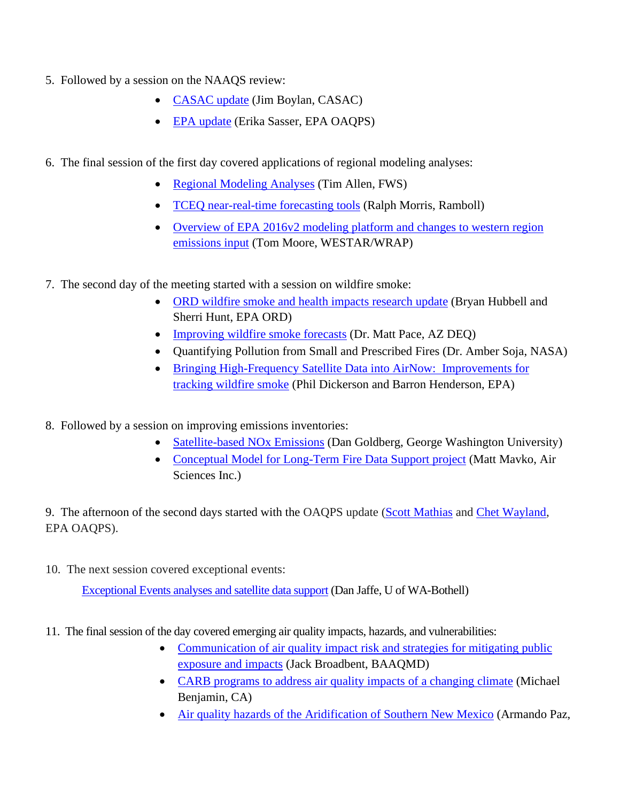- 5. Followed by a session on the NAAQS review:
	- [CASAC update](http://www.westar.org/Docs/Business%20Meetings/fall21/CASAC_NAAQS_Review_12-07-2021.pdf) (Jim Boylan, CASAC)
	- [EPA update](http://www.westar.org/Docs/Business%20Meetings/fall21/WESTAR%20Presentation_Sasser_12_07_2021.pdf) (Erika Sasser, EPA OAQPS)
- 6. The final session of the first day covered applications of regional modeling analyses:
	- [Regional Modeling Analyses](http://www.westar.org/Docs/Business%20Meetings/fall21/FALL21_T_Allen.pdf) (Tim Allen, FWS)
	- [TCEQ near-real-time forecasting tools](http://www.westar.org/Docs/Business%20Meetings/fall21/WESTAR_Meet_TCEQ-NRTEEM_Morris_2021-12-07v4.pdf) (Ralph Morris, Ramboll)
	- Overview of EPA 2016v2 modeling platform and changes to western region [emissions input](http://www.westar.org/Docs/Business%20Meetings/fall21/2016v2platform_western_inputsDec7_2021.pdf) (Tom Moore, WESTAR/WRAP)
- 7. The second day of the meeting started with a session on wildfire smoke:
	- [ORD wildfire smoke and health impacts research](http://www.westar.org/Docs/Business%20Meetings/fall21/Bryan%20Hubbell_%20Wildfire%20Smoke%20and%20Health%20Impacts_WESTAR%20WRAP_December%202021_FINAL.pdf) update (Bryan Hubbell and Sherri Hunt, EPA ORD)
	- [Improving wildfire smoke forecasts](http://www.westar.org/Docs/Business%20Meetings/fall21/WESTAR_WRAP_Smoke_Forecast.pdf) (Dr. Matt Pace, AZ DEQ)
	- Quantifying Pollution from Small and Prescribed Fires (Dr. Amber Soja, NASA)
	- [Bringing High-Frequency Satellite Data into AirNow: Improvements for](http://www.westar.org/Docs/Business%20Meetings/fall21/DickersonHenderson_WESTAR_FBM_2021_BringingHighFrequencySatelliteDataintoAirNow.pdf)  [tracking wildfire smoke](http://www.westar.org/Docs/Business%20Meetings/fall21/DickersonHenderson_WESTAR_FBM_2021_BringingHighFrequencySatelliteDataintoAirNow.pdf) (Phil Dickerson and Barron Henderson, EPA)
- 8. Followed by a session on improving emissions inventories:
	- [Satellite-based NOx Emissions](http://www.westar.org/Docs/Business%20Meetings/fall21/Goldberg_WESTAR_120821.pdf) (Dan Goldberg, George Washington University)
	- [Conceptual Model for Long-Term Fire Data Support project](http://www.westar.org/Docs/Business%20Meetings/fall21/WESTAR_2021_Fall_Biz_Mtg_Mavko.pdf) (Matt Mavko, Air Sciences Inc.)

9. The afternoon of the second days started with the OAQPS update [\(Scott Mathias](http://www.westar.org/Docs/Business%20Meetings/fall21/Mathias_FALL2021_WESTAR_12-8-21_fnl.pdf) and [Chet Wayland,](http://www.westar.org/Docs/Business%20Meetings/fall21/Wayland%20WESTAR%20Fall%202021%20Technical%20Updates.pdf) EPA OAQPS).

10. The next session covered exceptional events:

[Exceptional Events analyses and satellite data support](http://www.westar.org/Docs/Business%20Meetings/fall21/Jaffe_O3PM_Smoke_Dec_2021.pdf) (Dan Jaffe, U of WA-Bothell)

- 11. The final session of the day covered emerging air quality impacts, hazards, and vulnerabilities:
	- [Communication of air quality impact risk and strategies for mitigating](http://www.westar.org/Docs/Business%20Meetings/fall21/WESTAR_12.8.21_JPB.pdf) public exposure [and impacts](http://www.westar.org/Docs/Business%20Meetings/fall21/WESTAR_12.8.21_JPB.pdf) (Jack Broadbent, BAAQMD)
	- [CARB programs to address air quality impacts of a changing climate](http://www.westar.org/Docs/Business%20Meetings/fall21/WESTAR-WRAP%20Fall%20Meeting%20Benjamin%20Presentation%20Final%20Slides.pdf) (Michael Benjamin, CA)
	- [Air quality hazards of the Aridification of Southern New Mexico](http://www.westar.org/Docs/Business%20Meetings/fall21/WESTAR_WRAP%20Fall_armpaz_NMED_SNM%20Aridification%20Air%20Quality%20Health%20Effects.pdf) (Armando Paz,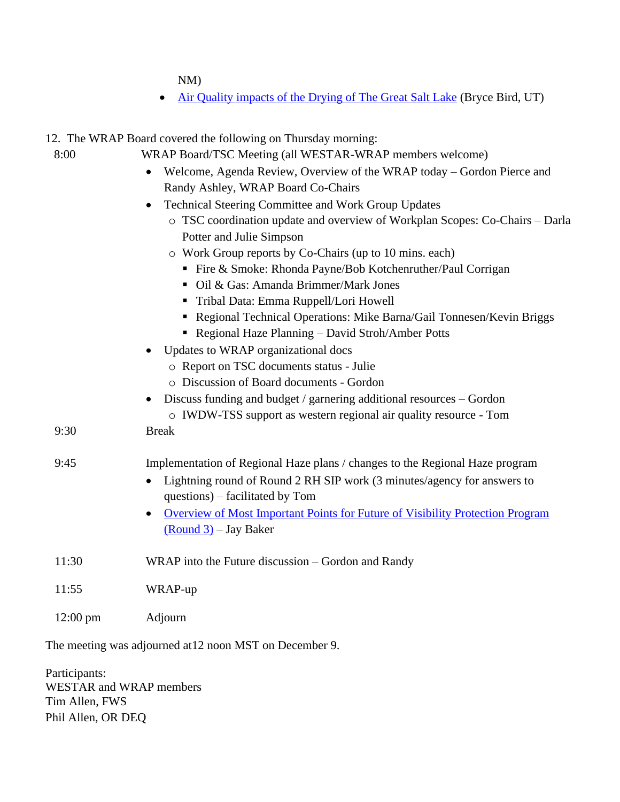NM)

• [Air Quality impacts of the Drying of The Great Salt Lake](http://www.westar.org/Docs/Business%20Meetings/fall21/GSL%20Dust%2012-21.pdf) (Bryce Bird, UT)

| 12. The WRAP Board covered the following on Thursday morning: |                                                                                            |
|---------------------------------------------------------------|--------------------------------------------------------------------------------------------|
| 8:00                                                          | WRAP Board/TSC Meeting (all WESTAR-WRAP members welcome)                                   |
|                                                               | Welcome, Agenda Review, Overview of the WRAP today – Gordon Pierce and                     |
|                                                               | Randy Ashley, WRAP Board Co-Chairs                                                         |
|                                                               | Technical Steering Committee and Work Group Updates                                        |
|                                                               | o TSC coordination update and overview of Workplan Scopes: Co-Chairs - Darla               |
|                                                               | Potter and Julie Simpson                                                                   |
|                                                               | o Work Group reports by Co-Chairs (up to 10 mins. each)                                    |
|                                                               | ■ Fire & Smoke: Rhonda Payne/Bob Kotchenruther/Paul Corrigan                               |
|                                                               | • Oil & Gas: Amanda Brimmer/Mark Jones                                                     |
|                                                               | Tribal Data: Emma Ruppell/Lori Howell                                                      |
|                                                               | Regional Technical Operations: Mike Barna/Gail Tonnesen/Kevin Briggs                       |
|                                                               | • Regional Haze Planning - David Stroh/Amber Potts                                         |
|                                                               | Updates to WRAP organizational docs                                                        |
|                                                               | o Report on TSC documents status - Julie                                                   |
|                                                               | o Discussion of Board documents - Gordon                                                   |
|                                                               | Discuss funding and budget / garnering additional resources – Gordon<br>$\bullet$          |
|                                                               | o IWDW-TSS support as western regional air quality resource - Tom                          |
| 9:30                                                          | <b>Break</b>                                                                               |
| 9:45                                                          | Implementation of Regional Haze plans / changes to the Regional Haze program               |
|                                                               | Lightning round of Round 2 RH SIP work (3 minutes/agency for answers to<br>$\bullet$       |
|                                                               | questions) – facilitated by Tom                                                            |
|                                                               | Overview of Most Important Points for Future of Visibility Protection Program<br>$\bullet$ |
|                                                               | $(Round 3) - Jay Baker$                                                                    |
| 11:30                                                         | WRAP into the Future discussion – Gordon and Randy                                         |
| 11:55                                                         | WRAP-up                                                                                    |
| $12:00 \text{ pm}$                                            | Adjourn                                                                                    |

The meeting was adjourned at12 noon MST on December 9.

Participants: WESTAR and WRAP members Tim Allen, FWS Phil Allen, OR DEQ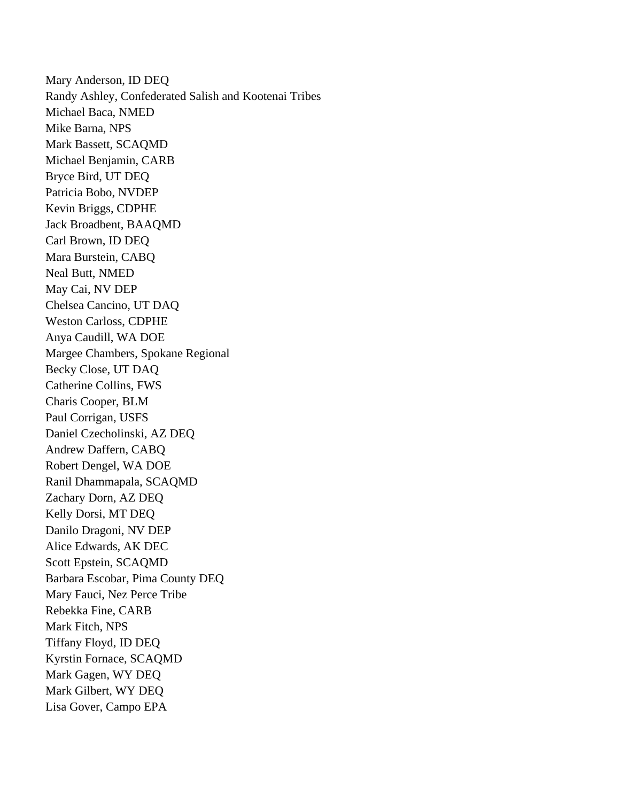Mary Anderson, ID DEQ Randy Ashley, Confederated Salish and Kootenai Tribes Michael Baca, NMED Mike Barna, NPS Mark Bassett, SCAQMD Michael Benjamin, CARB Bryce Bird, UT DEQ Patricia Bobo, NVDEP Kevin Briggs, CDPHE Jack Broadbent, BAAQMD Carl Brown, ID DEQ Mara Burstein, CABQ Neal Butt, NMED May Cai, NV DEP Chelsea Cancino, UT DAQ Weston Carloss, CDPHE Anya Caudill, WA DOE Margee Chambers, Spokane Regional Becky Close, UT DAQ Catherine Collins, FWS Charis Cooper, BLM Paul Corrigan, USFS Daniel Czecholinski, AZ DEQ Andrew Daffern, CABQ Robert Dengel, WA DOE Ranil Dhammapala, SCAQMD Zachary Dorn, AZ DEQ Kelly Dorsi, MT DEQ Danilo Dragoni, NV DEP Alice Edwards, AK DEC Scott Epstein, SCAQMD Barbara Escobar, Pima County DEQ Mary Fauci, Nez Perce Tribe Rebekka Fine, CARB Mark Fitch, NPS Tiffany Floyd, ID DEQ Kyrstin Fornace, SCAQMD Mark Gagen, WY DEQ Mark Gilbert, WY DEQ Lisa Gover, Campo EPA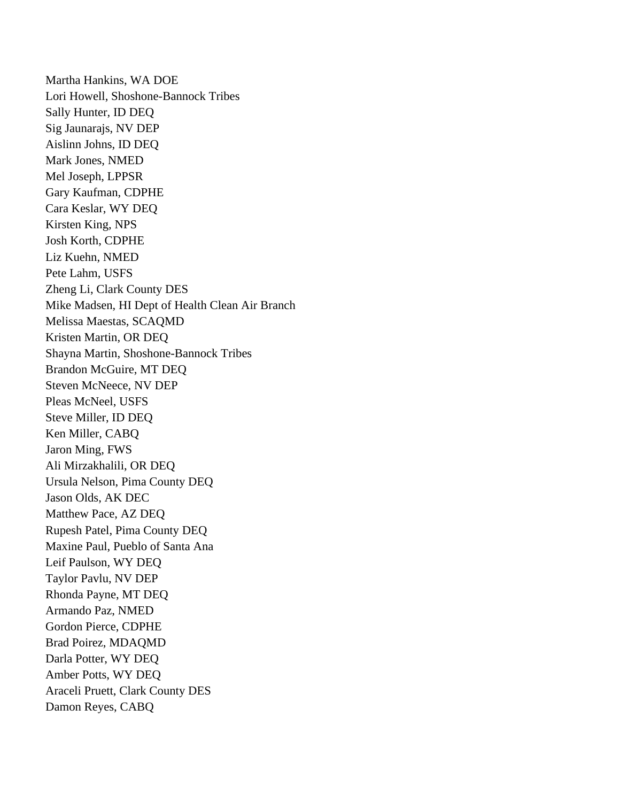Martha Hankins, WA DOE Lori Howell, Shoshone-Bannock Tribes Sally Hunter, ID DEQ Sig Jaunarajs, NV DEP Aislinn Johns, ID DEQ Mark Jones, NMED Mel Joseph, LPPSR Gary Kaufman, CDPHE Cara Keslar, WY DEQ Kirsten King, NPS Josh Korth, CDPHE Liz Kuehn, NMED Pete Lahm, USFS Zheng Li, Clark County DES Mike Madsen, HI Dept of Health Clean Air Branch Melissa Maestas, SCAQMD Kristen Martin, OR DEQ Shayna Martin, Shoshone-Bannock Tribes Brandon McGuire, MT DEQ Steven McNeece, NV DEP Pleas McNeel, USFS Steve Miller, ID DEQ Ken Miller, CABQ Jaron Ming, FWS Ali Mirzakhalili, OR DEQ Ursula Nelson, Pima County DEQ Jason Olds, AK DEC Matthew Pace, AZ DEQ Rupesh Patel, Pima County DEQ Maxine Paul, Pueblo of Santa Ana Leif Paulson, WY DEQ Taylor Pavlu, NV DEP Rhonda Payne, MT DEQ Armando Paz, NMED Gordon Pierce, CDPHE Brad Poirez, MDAQMD Darla Potter, WY DEQ Amber Potts, WY DEQ Araceli Pruett, Clark County DES Damon Reyes, CABQ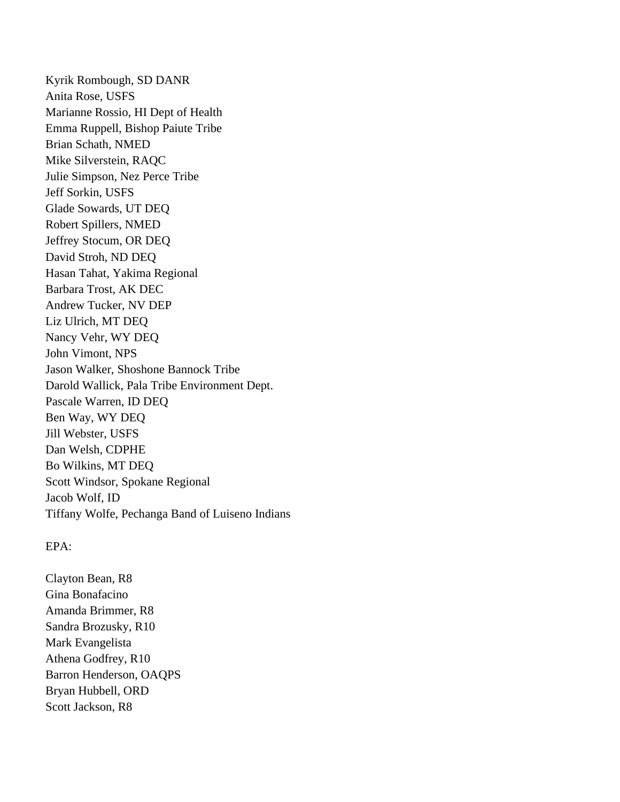Kyrik Rombough, SD DANR Anita Rose, USFS Marianne Rossio, HI Dept of Health Emma Ruppell, Bishop Paiute Tribe Brian Schath, NMED Mike Silverstein, RAQC Julie Simpson, Nez Perce Tribe Jeff Sorkin, USFS Glade Sowards, UT DEQ Robert Spillers, NMED Jeffrey Stocum, OR DEQ David Stroh, ND DEQ Hasan Tahat, Yakima Regional Barbara Trost, AK DEC Andrew Tucker, NV DEP Liz Ulrich, MT DEQ Nancy Vehr, WY DEQ John Vimont, NPS Jason Walker, Shoshone Bannock Tribe Darold Wallick, Pala Tribe Environment Dept. Pascale Warren, ID DEQ Ben Way, WY DEQ Jill Webster, USFS Dan Welsh, CDPHE Bo Wilkins, MT DEQ Scott Windsor, Spokane Regional Jacob Wolf, ID Tiffany Wolfe, Pechanga Band of Luiseno Indians

## EPA:

Clayton Bean, R8 Gina Bonafacino Amanda Brimmer, R8 Sandra Brozusky, R10 Mark Evangelista Athena Godfrey, R10 Barron Henderson, OAQPS Bryan Hubbell, ORD Scott Jackson, R8